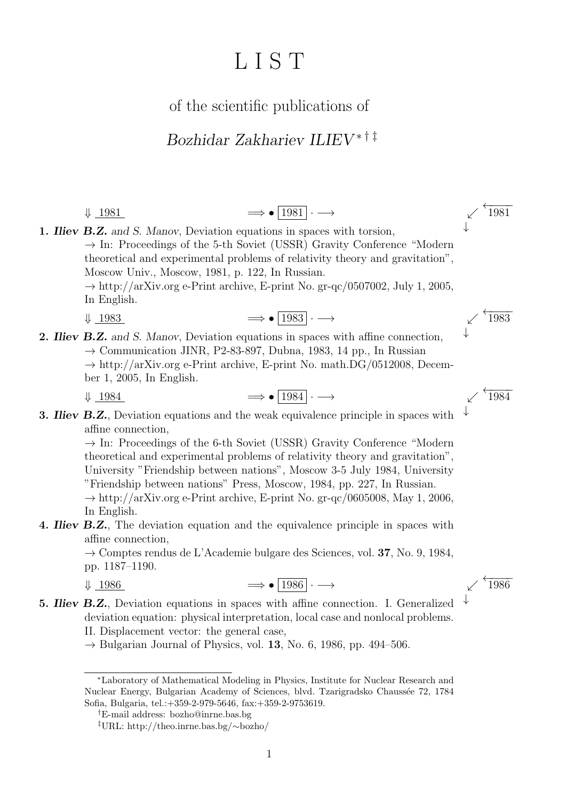# L I S T

of the scientific publications of

### Bozhidar Zakhariev ILIEV ∗ † ‡

 $\downarrow$  1981  $\longrightarrow$   $\boxed{1981} \rightarrow$   $\rightarrow$   $\boxed{1981}$ ↓ 1. **Iliev B.Z.** and S. Manov, Deviation equations in spaces with torsion,  $\rightarrow$  In: Proceedings of the 5-th Soviet (USSR) Gravity Conference "Modern theoretical and experimental problems of relativity theory and gravitation", Moscow Univ., Moscow, 1981, p. 122, In Russian.  $\rightarrow$  http://arXiv.org e-Print archive, E-print No. gr-qc/0507002, July 1, 2005, In English.

 $\downarrow$  1983  $\longrightarrow$   $\boxed{1983}$   $\longrightarrow$   $\boxed{1983}$ 

2. Iliev B.Z. and S. Manov, Deviation equations in spaces with affine connection,  $\rightarrow$  Communication JINR, P2-83-897, Dubna, 1983, 14 pp., In Russian  $\rightarrow$  http://arXiv.org e-Print archive, E-print No. math.DG/0512008, December 1, 2005, In English.

 $\downarrow$  1984  $\longrightarrow$   $\bullet$  1984  $\longrightarrow$ 

$$
\Rightarrow \bullet \boxed{1984} \cdot \longrightarrow
$$

$$
f_{\rm{max}}
$$

↓

↓

3. **Iliev B.Z.**, Deviation equations and the weak equivalence principle in spaces with affine connection,

> $\rightarrow$  In: Proceedings of the 6-th Soviet (USSR) Gravity Conference "Modern theoretical and experimental problems of relativity theory and gravitation", University "Friendship between nations", Moscow 3-5 July 1984, University "Friendship between nations" Press, Moscow, 1984, pp. 227, In Russian.  $\rightarrow$  http://arXiv.org e-Print archive, E-print No. gr-qc/0605008, May 1, 2006, In English.

4. **Iliev B.Z.**, The deviation equation and the equivalence principle in spaces with affine connection,

> $\rightarrow$  Comptes rendus de L'Academie bulgare des Sciences, vol. 37, No. 9, 1984, pp. 1187–1190.

$$
\downarrow \quad 1986 \qquad \qquad \Longrightarrow \bullet \quad \boxed{1986} \cdot \longrightarrow \qquad \qquad \swarrow \stackrel{\leftarrow}{1986}
$$

↓

5. Iliev B.Z., Deviation equations in spaces with affine connection. I. Generalized deviation equation: physical interpretation, local case and nonlocal problems.

II. Displacement vector: the general case,

 $\rightarrow$  Bulgarian Journal of Physics, vol. 13, No. 6, 1986, pp. 494–506.

<sup>∗</sup>Laboratory of Mathematical Modeling in Physics, Institute for Nuclear Research and Nuclear Energy, Bulgarian Academy of Sciences, blvd. Tzarigradsko Chauss´ee 72, 1784 Sofia, Bulgaria, tel.:+359-2-979-5646, fax:+359-2-9753619.

<sup>†</sup>E-mail address: bozho@inrne.bas.bg

<sup>‡</sup>URL: http://theo.inrne.bas.bg/∼bozho/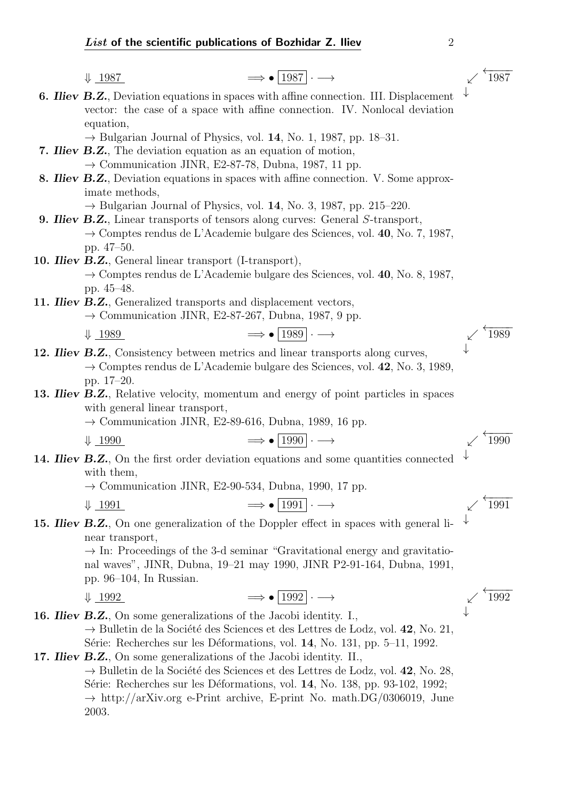|  | $\Longrightarrow \bullet$ [1987] $\cdot \longrightarrow$<br>$\downarrow$ 1987                                                                                             | 1987 |
|--|---------------------------------------------------------------------------------------------------------------------------------------------------------------------------|------|
|  | 6. Iliev B.Z., Deviation equations in spaces with affine connection. III. Displacement                                                                                    |      |
|  | vector: the case of a space with affine connection. IV. Nonlocal deviation                                                                                                |      |
|  | equation,                                                                                                                                                                 |      |
|  | $\rightarrow$ Bulgarian Journal of Physics, vol. 14, No. 1, 1987, pp. 18–31.<br><b>7. Iliev B.Z.</b> , The deviation equation as an equation of motion,                   |      |
|  | $\rightarrow$ Communication JINR, E2-87-78, Dubna, 1987, 11 pp.                                                                                                           |      |
|  | 8. <b>Iliev B.Z.</b> , Deviation equations in spaces with affine connection. V. Some approx-                                                                              |      |
|  | imate methods,                                                                                                                                                            |      |
|  | $\rightarrow$ Bulgarian Journal of Physics, vol. 14, No. 3, 1987, pp. 215–220.                                                                                            |      |
|  | <b>9. Iliev B.Z.</b> , Linear transports of tensors along curves: General S-transport,                                                                                    |      |
|  | $\rightarrow$ Comptes rendus de L'Academie bulgare des Sciences, vol. 40, No. 7, 1987,                                                                                    |      |
|  | pp. 47-50.<br>10. <i>Hiev B.Z.</i> , General linear transport (I-transport),                                                                                              |      |
|  | $\rightarrow$ Comptes rendus de L'Academie bulgare des Sciences, vol. 40, No. 8, 1987,                                                                                    |      |
|  | pp. 45-48.                                                                                                                                                                |      |
|  | 11. <b>Iliev B.Z.</b> , Generalized transports and displacement vectors,                                                                                                  |      |
|  | $\rightarrow$ Communication JINR, E2-87-267, Dubna, 1987, 9 pp.                                                                                                           |      |
|  | $\Longrightarrow \bullet$ [1989] $\cdot \longrightarrow$<br>$\downarrow$ 1989                                                                                             | 1989 |
|  | 12. <i>Hiev B.Z.</i> , Consistency between metrics and linear transports along curves,                                                                                    |      |
|  | $\rightarrow$ Comptes rendus de L'Academie bulgare des Sciences, vol. 42, No. 3, 1989,                                                                                    |      |
|  | pp. 17–20.                                                                                                                                                                |      |
|  | 13. <b>Iliev B.Z.</b> , Relative velocity, momentum and energy of point particles in spaces                                                                               |      |
|  | with general linear transport,<br>$\rightarrow$ Communication JINR, E2-89-616, Dubna, 1989, 16 pp.                                                                        |      |
|  | $\Longrightarrow \bullet$ [1990] $\cdot \longrightarrow$                                                                                                                  | 1990 |
|  | $\downarrow$ 1990                                                                                                                                                         |      |
|  | 14. <b>Iliev B.Z.</b> , On the first order deviation equations and some quantities connected<br>with them,                                                                |      |
|  | $\rightarrow$ Communication JINR, E2-90-534, Dubna, 1990, 17 pp.                                                                                                          |      |
|  | $\Rightarrow \bullet  1991  \rightarrow$<br>$\downarrow$ 1991                                                                                                             | 1991 |
|  | 15. <i>Hiev B.Z.</i> , On one generalization of the Doppler effect in spaces with general li-                                                                             |      |
|  | near transport,                                                                                                                                                           |      |
|  | $\rightarrow$ In: Proceedings of the 3-d seminar "Gravitational energy and gravitatio-                                                                                    |      |
|  | nal waves", JINR, Dubna, 19–21 may 1990, JINR P2-91-164, Dubna, 1991,                                                                                                     |      |
|  | pp. $96-104$ , In Russian.                                                                                                                                                |      |
|  | $\Longrightarrow \bullet$ [1992] $\cdot \longrightarrow$<br>$\downarrow$ 1992                                                                                             | 1992 |
|  | <b>16. Iliev B.Z.</b> , On some generalizations of the Jacobi identity. I.,                                                                                               |      |
|  | $\rightarrow$ Bulletin de la Société des Sciences et des Lettres de Lodz, vol. 42, No. 21,                                                                                |      |
|  | Série: Recherches sur les Déformations, vol. 14, No. 131, pp. 5–11, 1992.                                                                                                 |      |
|  | 17. <i>Iliev B.Z.</i> , On some generalizations of the Jacobi identity. II.,                                                                                              |      |
|  | $\rightarrow$ Bulletin de la Société des Sciences et des Lettres de Lodz, vol. 42, No. 28,<br>Série: Recherches sur les Déformations, vol. 14, No. 138, pp. 93-102, 1992; |      |
|  | $\rightarrow$ http://arXiv.org e-Print archive, E-print No. math.DG/0306019, June                                                                                         |      |
|  | 2003.                                                                                                                                                                     |      |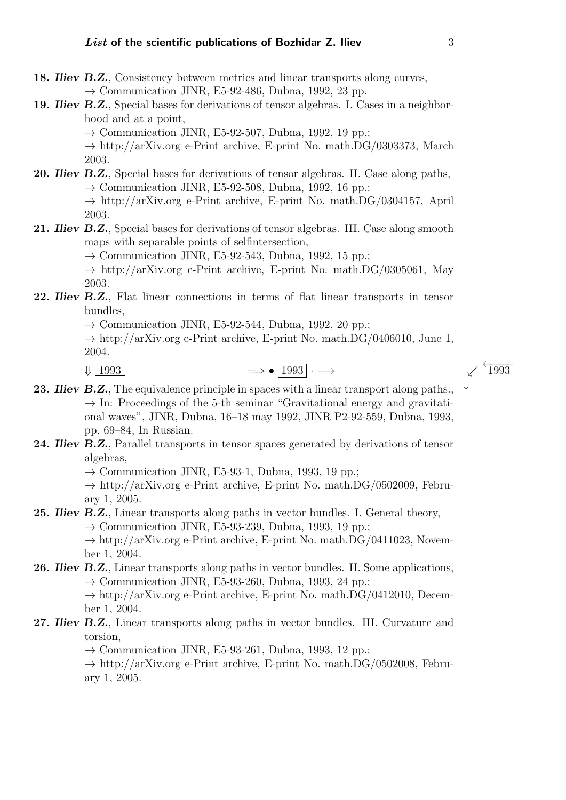- 18. Iliev B.Z., Consistency between metrics and linear transports along curves,  $\rightarrow$  Communication JINR, E5-92-486, Dubna, 1992, 23 pp.
- 19. *Iliev B.Z.*, Special bases for derivations of tensor algebras. I. Cases in a neighborhood and at a point,
	- $\rightarrow$  Communication JINR, E5-92-507, Dubna, 1992, 19 pp.;

 $\rightarrow$  http://arXiv.org e-Print archive, E-print No. math.DG/0303373, March 2003.

20. *Iliev B.Z.*, Special bases for derivations of tensor algebras. II. Case along paths,  $\rightarrow$  Communication JINR, E5-92-508, Dubna, 1992, 16 pp.;

> $\rightarrow$  http://arXiv.org e-Print archive, E-print No. math.DG/0304157, April 2003.

21. *Iliev B.Z.*, Special bases for derivations of tensor algebras. III. Case along smooth maps with separable points of selfintersection,

 $\rightarrow$  Communication JINR, E5-92-543, Dubna, 1992, 15 pp.;

 $\rightarrow$  http://arXiv.org e-Print archive, E-print No. math.DG/0305061, May 2003.

22. Iliev B.Z., Flat linear connections in terms of flat linear transports in tensor bundles,

 $\rightarrow$  Communication JINR, E5-92-544, Dubna, 1992, 20 pp.;

 $\rightarrow$  http://arXiv.org e-Print archive, E-print No. math.DG/0406010, June 1, 2004.

- $\downarrow$  1993  $\longrightarrow$   $\boxed{1993}$   $\longrightarrow$   $\longleftarrow$   $\boxed{1993}$
- 23. Iliev B.Z., The equivalence principle in spaces with a linear transport along paths.,  $\rightarrow$  In: Proceedings of the 5-th seminar "Gravitational energy and gravitational waves", JINR, Dubna, 16–18 may 1992, JINR P2-92-559, Dubna, 1993, pp. 69–84, In Russian.
- 24. Iliev B.Z., Parallel transports in tensor spaces generated by derivations of tensor algebras,

 $\rightarrow$  Communication JINR, E5-93-1, Dubna, 1993, 19 pp.;

 $\rightarrow$  http://arXiv.org e-Print archive, E-print No. math.DG/0502009, February 1, 2005.

#### 25. Iliev B.Z., Linear transports along paths in vector bundles. I. General theory,  $\rightarrow$  Communication JINR, E5-93-239, Dubna, 1993, 19 pp.;

 $\rightarrow$  http://arXiv.org e-Print archive, E-print No. math.DG/0411023, November 1, 2004.

#### 26. Iliev B.Z., Linear transports along paths in vector bundles. II. Some applications,  $\rightarrow$  Communication JINR, E5-93-260, Dubna, 1993, 24 pp.;

 $\rightarrow$  http://arXiv.org e-Print archive, E-print No. math.DG/0412010, December 1, 2004.

#### 27. Iliev B.Z., Linear transports along paths in vector bundles. III. Curvature and torsion,

 $\rightarrow$  Communication JINR, E5-93-261, Dubna, 1993, 12 pp.;

 $\rightarrow$  http://arXiv.org e-Print archive, E-print No. math.DG/0502008, February 1, 2005.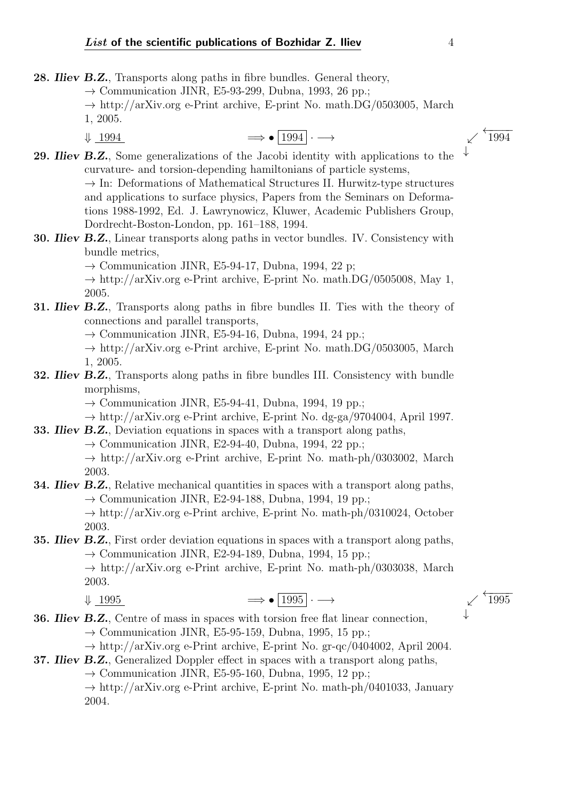- 28. Iliev B.Z., Transports along paths in fibre bundles. General theory,
	- $\rightarrow$  Communication JINR, E5-93-299, Dubna, 1993, 26 pp.;
	- $\rightarrow$  http://arXiv.org e-Print archive, E-print No. math.DG/0503005, March 1, 2005.
	- $\downarrow$  1994  $\longrightarrow$   $\boxed{1994} \rightarrow$
- 29. Iliev B.Z., Some generalizations of the Jacobi identity with applications to the curvature- and torsion-depending hamiltonians of particle systems,  $\rightarrow$  In: Deformations of Mathematical Structures II. Hurwitz-type structures and applications to surface physics, Papers from the Seminars on Deformations 1988-1992, Ed. J. Lawrynowicz, Kluwer, Academic Publishers Group, Dordrecht-Boston-London, pp. 161–188, 1994.
- 30. Iliev B.Z., Linear transports along paths in vector bundles. IV. Consistency with bundle metrics,

 $\rightarrow$  Communication JINR, E5-94-17, Dubna, 1994, 22 p;

 $\rightarrow$  http://arXiv.org e-Print archive, E-print No. math.DG/0505008, May 1, 2005.

31. *Iliev B.Z.*, Transports along paths in fibre bundles II. Ties with the theory of connections and parallel transports,

 $\rightarrow$  Communication JINR, E5-94-16, Dubna, 1994, 24 pp.;

- $\rightarrow$  http://arXiv.org e-Print archive, E-print No. math.DG/0503005, March 1, 2005.
- 32. *Iliev B.Z.*, Transports along paths in fibre bundles III. Consistency with bundle morphisms,

 $\rightarrow$  Communication JINR, E5-94-41, Dubna, 1994, 19 pp.;

 $\rightarrow$  http://arXiv.org e-Print archive, E-print No. dg-ga/9704004, April 1997.

- 33. Iliev B.Z., Deviation equations in spaces with a transport along paths,
	- $\rightarrow$  Communication JINR, E2-94-40, Dubna, 1994, 22 pp.;
	- $\rightarrow$  http://arXiv.org e-Print archive, E-print No. math-ph/0303002, March 2003.
- **34. Iliev B.Z.**, Relative mechanical quantities in spaces with a transport along paths,  $\rightarrow$  Communication JINR, E2-94-188, Dubna, 1994, 19 pp.;

 $\rightarrow$  http://arXiv.org e-Print archive, E-print No. math-ph/0310024, October 2003.

**35. Iliev B.Z.**, First order deviation equations in spaces with a transport along paths,  $\rightarrow$  Communication JINR, E2-94-189, Dubna, 1994, 15 pp.;  $\rightarrow$  http://arXiv.org e-Print archive, E-print No. math-ph/0303038, March

2003.

## $\downarrow$  1995  $\longrightarrow$   $\bullet$  1995  $\longrightarrow$   $\check{1995}$

**36. Iliev B.Z.**, Centre of mass in spaces with torsion free flat linear connection, 
$$
\rightarrow
$$
 Communication JINR, E5-95-159, Dubna, 1995, 15 pp.;

 $\rightarrow$  http://arXiv.org e-Print archive, E-print No. gr-qc/0404002, April 2004.

- 37. Iliev B.Z., Generalized Doppler effect in spaces with a transport along paths,
	- $\rightarrow$  Communication JINR, E5-95-160, Dubna, 1995, 12 pp.;

 $\rightarrow$  http://arXiv.org e-Print archive, E-print No. math-ph/0401033, January 2004.

↓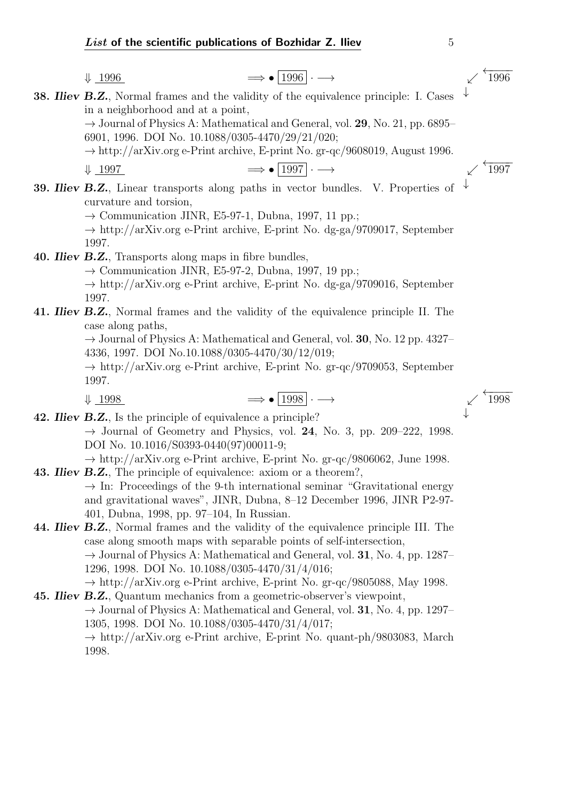$$
\downarrow \underline{1996} \qquad \qquad \Longrightarrow \bullet \underline{1996} \cdot \longrightarrow \qquad \qquad \swarrow
$$

**38. Iliev B.Z.**, Normal frames and the validity of the equivalence principle: I. Cases in a neighborhood and at a point,

> $\rightarrow$  Journal of Physics A: Mathematical and General, vol. 29, No. 21, pp. 6895– 6901, 1996. DOI No. 10.1088/0305-4470/29/21/020;

> $\rightarrow$  http://arXiv.org e-Print archive, E-print No. gr-qc/9608019, August 1996.

 $\downarrow$  1997  $\longrightarrow$   $\boxed{1997} \longrightarrow$   $\longleftarrow$   $\boxed{1997}$ 

↓

←−−−− <sup>1996</sup>

↓ 39. Iliev B.Z., Linear transports along paths in vector bundles. V. Properties of curvature and torsion,

 $\rightarrow$  Communication JINR, E5-97-1, Dubna, 1997, 11 pp.;

 $\rightarrow$  http://arXiv.org e-Print archive, E-print No. dg-ga/9709017, September 1997.

40. Iliev B.Z., Transports along maps in fibre bundles,

 $\rightarrow$  Communication JINR, E5-97-2, Dubna, 1997, 19 pp.;

 $\rightarrow$  http://arXiv.org e-Print archive, E-print No. dg-ga/9709016, September 1997.

41. *Iliev B.Z.*, Normal frames and the validity of the equivalence principle II. The case along paths,

> $\rightarrow$  Journal of Physics A: Mathematical and General, vol. 30, No. 12 pp. 4327– 4336, 1997. DOI No.10.1088/0305-4470/30/12/019;

> $\rightarrow$  http://arXiv.org e-Print archive, E-print No. gr-qc/9709053, September 1997.

$$
\downarrow \underline{1998} \qquad \qquad \Longrightarrow \text{ } \boxed{1998} \cdot \longrightarrow \qquad \qquad \swarrow \stackrel{\longleftarrow}{1998}
$$

42. **Iliev B.Z.**, Is the principle of equivalence a principle?  $\rightarrow$  Journal of Geometry and Physics, vol. 24, No. 3, pp. 209–222, 1998. DOI No. 10.1016/S0393-0440(97)00011-9;

 $\rightarrow$  http://arXiv.org e-Print archive, E-print No. gr-qc/9806062, June 1998. 43. Iliev B.Z., The principle of equivalence: axiom or a theorem?,

> $\rightarrow$  In: Proceedings of the 9-th international seminar "Gravitational energy and gravitational waves", JINR, Dubna, 8–12 December 1996, JINR P2-97- 401, Dubna, 1998, pp. 97–104, In Russian.

44. Iliev B.Z., Normal frames and the validity of the equivalence principle III. The case along smooth maps with separable points of self-intersection,  $\rightarrow$  Journal of Physics A: Mathematical and General, vol. 31, No. 4, pp. 1287– 1296, 1998. DOI No. 10.1088/0305-4470/31/4/016;

 $\rightarrow$  http://arXiv.org e-Print archive, E-print No. gr-qc/9805088, May 1998. 45. Iliev B.Z., Quantum mechanics from a geometric-observer's viewpoint,

 $\rightarrow$  Journal of Physics A: Mathematical and General, vol. 31, No. 4, pp. 1297– 1305, 1998. DOI No. 10.1088/0305-4470/31/4/017;

 $\rightarrow$  http://arXiv.org e-Print archive, E-print No. quant-ph/9803083, March 1998.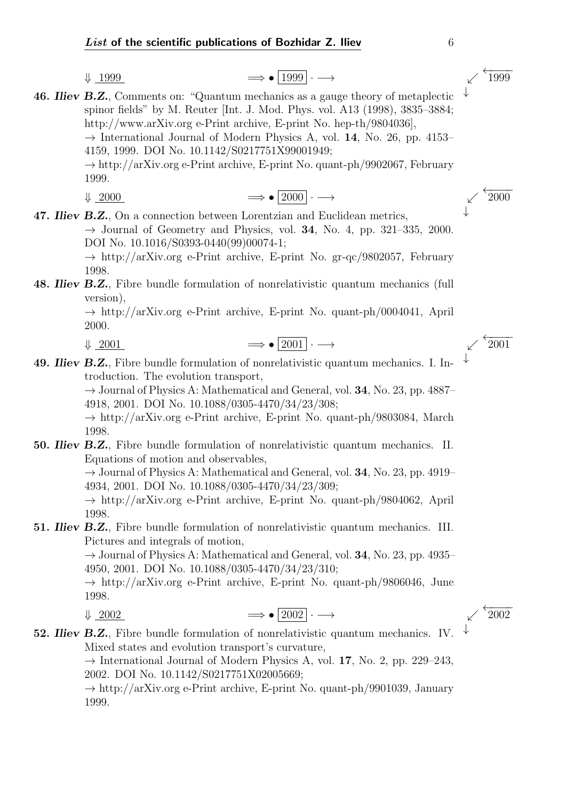$$
\Downarrow \underline{1999}
$$

$$
\downarrow \underline{1999} \qquad \qquad \Longrightarrow \bullet \, |1999| \cdot \longrightarrow \qquad \qquad \swarrow
$$

46. Iliev B.Z., Comments on: "Quantum mechanics as a gauge theory of metaplectic spinor fields" by M. Reuter [Int. J. Mod. Phys. vol. A13 (1998), 3835–3884; http://www.arXiv.org e-Print archive, E-print No. hep-th/9804036],  $\rightarrow$  International Journal of Modern Physics A, vol. 14, No. 26, pp. 4153– 4159, 1999. DOI No. 10.1142/S0217751X99001949;  $\rightarrow$  http://arXiv.org e-Print archive, E-print No. quant-ph/9902067, February 1999.  $\downarrow$  2000  $\longrightarrow$   $\rightarrow$   $\sim$   $\frac{4}{2000}$   $\rightarrow$ 

$$
\implies \bullet \mid 2000 \mid \cdot \longrightarrow
$$

47. Iliev B.Z., On a connection between Lorentzian and Euclidean metrics,  $\rightarrow$  Journal of Geometry and Physics, vol. 34, No. 4, pp. 321–335, 2000. DOI No. 10.1016/S0393-0440(99)00074-1;

 $\rightarrow$  http://arXiv.org e-Print archive, E-print No. gr-qc/9802057, February 1998.

### 48. Iliev B.Z., Fibre bundle formulation of nonrelativistic quantum mechanics (full version),

 $\rightarrow$  http://arXiv.org e-Print archive, E-print No. quant-ph/0004041, April 2000.

$$
\downarrow \underline{2001} \qquad \qquad \Longrightarrow \bullet \boxed{2001} \cdot \longrightarrow \qquad \qquad \swarrow \stackrel{\longleftarrow}{2001}
$$

49. Iliev B.Z., Fibre bundle formulation of nonrelativistic quantum mechanics. I. Introduction. The evolution transport,

 $\rightarrow$  Journal of Physics A: Mathematical and General, vol. 34, No. 23, pp. 4887– 4918, 2001. DOI No. 10.1088/0305-4470/34/23/308;

 $\rightarrow$  http://arXiv.org e-Print archive, E-print No. quant-ph/9803084, March 1998.

50. Iliev B.Z., Fibre bundle formulation of nonrelativistic quantum mechanics. II. Equations of motion and observables,

> $\rightarrow$  Journal of Physics A: Mathematical and General, vol. 34, No. 23, pp. 4919– 4934, 2001. DOI No. 10.1088/0305-4470/34/23/309;

> $\rightarrow$  http://arXiv.org e-Print archive, E-print No. quant-ph/9804062, April 1998.

**51. Iliev B.Z.**, Fibre bundle formulation of nonrelativistic quantum mechanics. III. Pictures and integrals of motion,

> $\rightarrow$  Journal of Physics A: Mathematical and General, vol. 34, No. 23, pp. 4935– 4950, 2001. DOI No. 10.1088/0305-4470/34/23/310;

> $\rightarrow$  http://arXiv.org e-Print archive, E-print No. quant-ph/9806046, June 1998.

$$
\downarrow \underline{2002} \qquad \qquad \Longrightarrow \bullet \boxed{2002} \cdot \longrightarrow \qquad \qquad \swarrow \stackrel{\longleftarrow}{2002}
$$

#### ↓ 52. Iliev B.Z., Fibre bundle formulation of nonrelativistic quantum mechanics. IV. Mixed states and evolution transport's curvature,

 $\rightarrow$  International Journal of Modern Physics A, vol. 17, No. 2, pp. 229–243, 2002. DOI No. 10.1142/S0217751X02005669;

 $\rightarrow$  http://arXiv.org e-Print archive, E-print No. quant-ph/9901039, January 1999.

↓

↓

←−−−− <sup>1999</sup>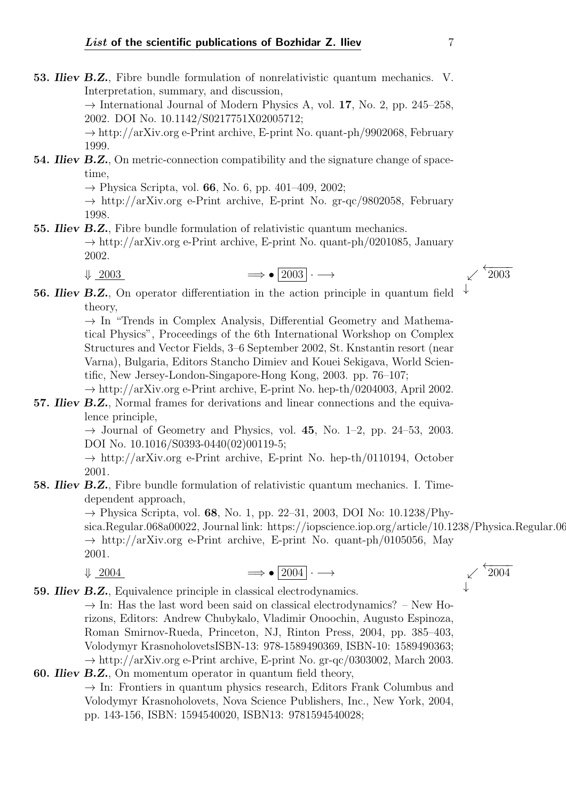53. Iliev B.Z., Fibre bundle formulation of nonrelativistic quantum mechanics. V. Interpretation, summary, and discussion,

 $\rightarrow$  International Journal of Modern Physics A, vol. 17, No. 2, pp. 245–258, 2002. DOI No. 10.1142/S0217751X02005712;

 $\rightarrow$  http://arXiv.org e-Print archive, E-print No. quant-ph/9902068, February 1999.

54. **Iliev B.Z.**, On metric-connection compatibility and the signature change of spacetime,

 $\rightarrow$  Physica Scripta, vol. 66, No. 6, pp. 401–409, 2002;

 $\rightarrow$  http://arXiv.org e-Print archive, E-print No. gr-qc/9802058, February 1998.

**55. Iliev B.Z.**, Fibre bundle formulation of relativistic quantum mechanics.  $\rightarrow$  http://arXiv.org e-Print archive, E-print No. quant-ph/0201085, January 2002.

 $\downarrow$  2003  $\longrightarrow$   $\boxed{2003} \rightarrow$   $\rightarrow$   $\boxed{2003}$ 

↓ 56. Iliev B.Z., On operator differentiation in the action principle in quantum field theory,

> $\rightarrow$  In "Trends in Complex Analysis, Differential Geometry and Mathematical Physics", Proceedings of the 6th International Workshop on Complex Structures and Vector Fields, 3–6 September 2002, St. Knstantin resort (near Varna), Bulgaria, Editors Stancho Dimiev and Kouei Sekigava, World Scientific, New Jersey-London-Singapore-Hong Kong, 2003. pp. 76–107;

> $\rightarrow$  http://arXiv.org e-Print archive, E-print No. hep-th/0204003, April 2002.

57. Iliev B.Z., Normal frames for derivations and linear connections and the equivalence principle,

> $\rightarrow$  Journal of Geometry and Physics, vol. 45, No. 1–2, pp. 24–53, 2003. DOI No. 10.1016/S0393-0440(02)00119-5;

> $\rightarrow$  http://arXiv.org e-Print archive, E-print No. hep-th/0110194, October 2001.

#### 58. Iliev B.Z., Fibre bundle formulation of relativistic quantum mechanics. I. Timedependent approach,

 $\rightarrow$  Physica Scripta, vol. 68, No. 1, pp. 22–31, 2003, DOI No: 10.1238/Phy-

sica.Regular.068a00022, Journal link: https://iopscience.iop.org/article/10.1238/Physica.Regular.068a00022;  $\rightarrow$  http://arXiv.org e-Print archive, E-print No. quant-ph/0105056, May 2001.

$$
\downarrow \underline{2004} \qquad \qquad \Longrightarrow \bullet \boxed{2004} \cdot \longrightarrow \qquad \qquad \swarrow \stackrel{\longleftarrow}{2004}
$$

59. Iliev B.Z., Equivalence principle in classical electrodynamics.  $\rightarrow$  In: Has the last word been said on classical electrodynamics? – New Horizons, Editors: Andrew Chubykalo, Vladimir Onoochin, Augusto Espinoza, Roman Smirnov-Rueda, Princeton, NJ, Rinton Press, 2004, pp. 385–403, Volodymyr KrasnoholovetsISBN-13: 978-1589490369, ISBN-10: 1589490363;  $\rightarrow$  http://arXiv.org e-Print archive, E-print No. gr-qc/0303002, March 2003.

#### 60. Iliev B.Z., On momentum operator in quantum field theory,  $\rightarrow$  In: Frontiers in quantum physics research, Editors Frank Columbus and Volodymyr Krasnoholovets, Nova Science Publishers, Inc., New York, 2004, pp. 143-156, ISBN: 1594540020, ISBN13: 9781594540028;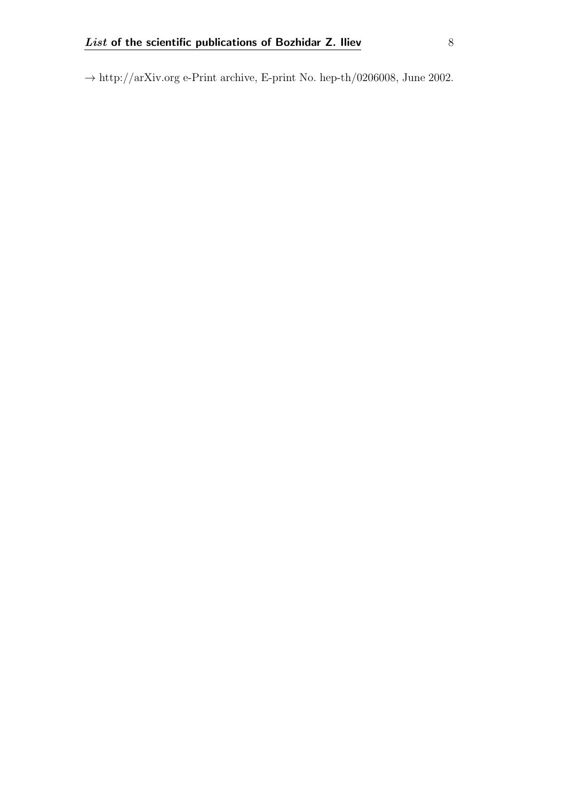$\rightarrow$ http://arXiv.org e-Print archive, E-print No. hep-th/0206008, June 2002.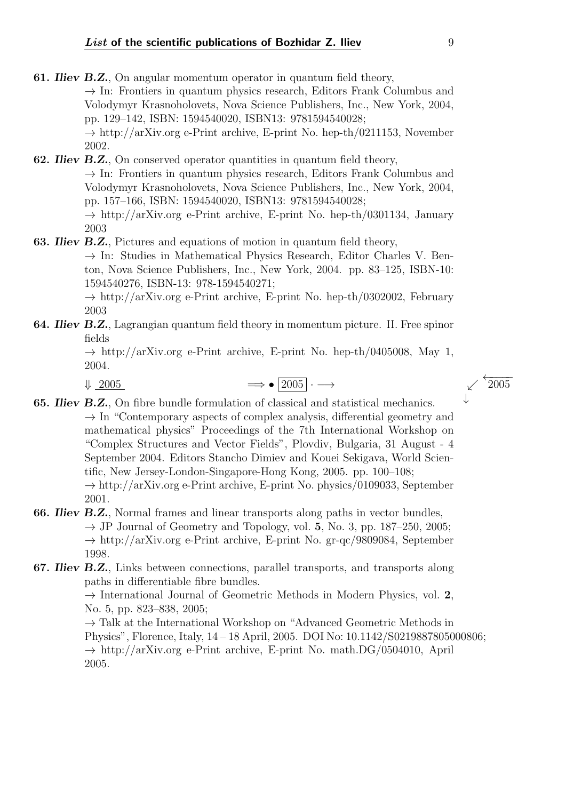↓

- 61. Iliev B.Z., On angular momentum operator in quantum field theory,  $\rightarrow$  In: Frontiers in quantum physics research, Editors Frank Columbus and Volodymyr Krasnoholovets, Nova Science Publishers, Inc., New York, 2004, pp. 129–142, ISBN: 1594540020, ISBN13: 9781594540028;  $\rightarrow$  http://arXiv.org e-Print archive, E-print No. hep-th/0211153, November 2002.
- 62. Iliev B.Z., On conserved operator quantities in quantum field theory,  $\rightarrow$  In: Frontiers in quantum physics research, Editors Frank Columbus and Volodymyr Krasnoholovets, Nova Science Publishers, Inc., New York, 2004, pp. 157–166, ISBN: 1594540020, ISBN13: 9781594540028;  $\rightarrow$  http://arXiv.org e-Print archive, E-print No. hep-th/0301134, January

2003

63. Iliev B.Z., Pictures and equations of motion in quantum field theory,

 $\rightarrow$  In: Studies in Mathematical Physics Research, Editor Charles V. Benton, Nova Science Publishers, Inc., New York, 2004. pp. 83–125, ISBN-10: 1594540276, ISBN-13: 978-1594540271;

 $\rightarrow$  http://arXiv.org e-Print archive, E-print No. hep-th/0302002, February 2003

**64. Iliev B.Z.**, Lagrangian quantum field theory in momentum picture. II. Free spinor fields

> $\rightarrow$  http://arXiv.org e-Print archive, E-print No. hep-th/0405008, May 1, 2004.

$$
\downarrow \underline{2005} \qquad \qquad \Longrightarrow \bullet \boxed{2005} \cdot \longrightarrow \qquad \qquad \swarrow \stackrel{\leftarrow}{2005}
$$

- 65. Iliev B.Z., On fibre bundle formulation of classical and statistical mechanics.  $\rightarrow$  In "Contemporary aspects of complex analysis, differential geometry and mathematical physics" Proceedings of the 7th International Workshop on "Complex Structures and Vector Fields", Plovdiv, Bulgaria, 31 August - 4 September 2004. Editors Stancho Dimiev and Kouei Sekigava, World Scientific, New Jersey-London-Singapore-Hong Kong, 2005. pp. 100–108;  $\rightarrow$  http://arXiv.org e-Print archive, E-print No. physics/0109033, September 2001.
- 66. Iliev B.Z., Normal frames and linear transports along paths in vector bundles,  $\rightarrow$  JP Journal of Geometry and Topology, vol. 5, No. 3, pp. 187–250, 2005;  $\rightarrow$  http://arXiv.org e-Print archive, E-print No. gr-qc/9809084, September 1998.
- 67. Iliev B.Z., Links between connections, parallel transports, and transports along paths in differentiable fibre bundles.

 $\rightarrow$  International Journal of Geometric Methods in Modern Physics, vol. 2, No. 5, pp. 823–838, 2005;

 $\rightarrow$  Talk at the International Workshop on "Advanced Geometric Methods in Physics", Florence, Italy, 14 – 18 April, 2005. DOI No: 10.1142/S0219887805000806;  $\rightarrow$  http://arXiv.org e-Print archive, E-print No. math.DG/0504010, April 2005.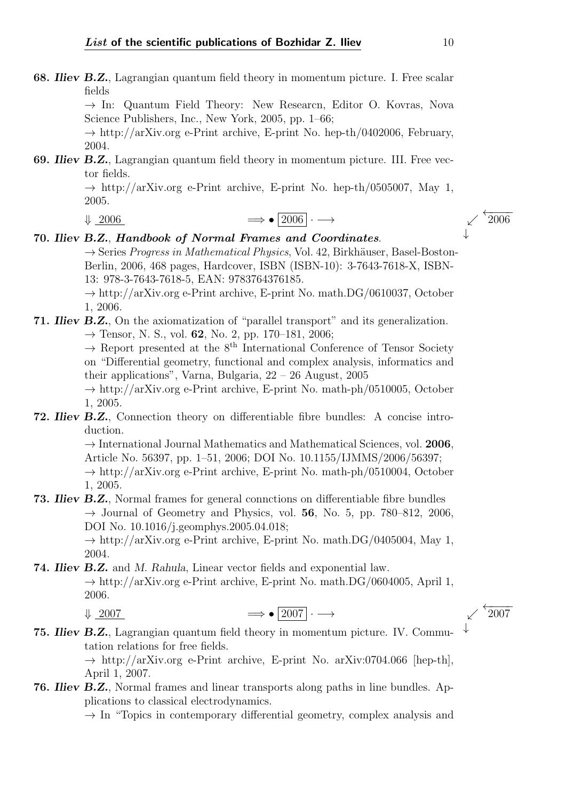68. Iliev B.Z., Lagrangian quantum field theory in momentum picture. I. Free scalar fields

> $\rightarrow$  In: Quantum Field Theory: New Researcn, Editor O. Kovras, Nova Science Publishers, Inc., New York, 2005, pp. 1–66;

> $\rightarrow$  http://arXiv.org e-Print archive, E-print No. hep-th/0402006, February, 2004.

69. Iliev B.Z., Lagrangian quantum field theory in momentum picture. III. Free vector fields.

> $\rightarrow$  http://arXiv.org e-Print archive, E-print No. hep-th/0505007, May 1, 2005.

### $\downarrow$  2006  $\qquad \Longrightarrow$  •  $\boxed{2006} \rightarrow$   $\qquad \qquad \nearrow$   $\stackrel{\longleftarrow}{2006}$

#### 70. Iliev B.Z., Handbook of Normal Frames and Coordinates.

 $\rightarrow$  Series Progress in Mathematical Physics, Vol. 42, Birkhäuser, Basel-Boston-Berlin, 2006, 468 pages, Hardcover, ISBN (ISBN-10): 3-7643-7618-X, ISBN-13: 978-3-7643-7618-5, EAN: 9783764376185.

 $\rightarrow$  http://arXiv.org e-Print archive, E-print No. math.DG/0610037, October 1, 2006.

#### 71. Iliev B.Z., On the axiomatization of "parallel transport" and its generalization.  $\rightarrow$  Tensor, N. S., vol. 62, No. 2, pp. 170–181, 2006;

 $\rightarrow$  Report presented at the 8<sup>th</sup> International Conference of Tensor Society on "Differential geometry, functional and complex analysis, informatics and their applications", Varna, Bulgaria, 22 – 26 August, 2005

 $\rightarrow$  http://arXiv.org e-Print archive, E-print No. math-ph/0510005, October 1, 2005.

72. Iliev B.Z., Connection theory on differentiable fibre bundles: A concise introduction.

> $\rightarrow$  International Journal Mathematics and Mathematical Sciences, vol. 2006, Article No. 56397, pp. 1–51, 2006; DOI No. 10.1155/IJMMS/2006/56397;  $\rightarrow$  http://arXiv.org e-Print archive, E-print No. math-ph/0510004, October 1, 2005.

73. Iliev B.Z., Normal frames for general connctions on differentiable fibre bundles  $\rightarrow$  Journal of Geometry and Physics, vol. 56, No. 5, pp. 780–812, 2006, DOI No. 10.1016/j.geomphys.2005.04.018;

> $\rightarrow$  http://arXiv.org e-Print archive, E-print No. math.DG/0405004, May 1, 2004.

74. Iliev B.Z. and M. Rahula, Linear vector fields and exponential law.  $\rightarrow$  http://arXiv.org e-Print archive, E-print No. math.DG/0604005, April 1, 2006.

 $\downarrow$  2007  $\longrightarrow$   $\boxed{2007} \cdot \longrightarrow$   $\check{2007}$ 

75. Iliev B.Z., Lagrangian quantum field theory in momentum picture. IV. Commutation relations for free fields.

 $\rightarrow$  http://arXiv.org e-Print archive, E-print No. arXiv:0704.066 [hep-th], April 1, 2007.

76. Iliev B.Z., Normal frames and linear transports along paths in line bundles. Applications to classical electrodynamics.

 $\rightarrow$  In "Topics in contemporary differential geometry, complex analysis and

↓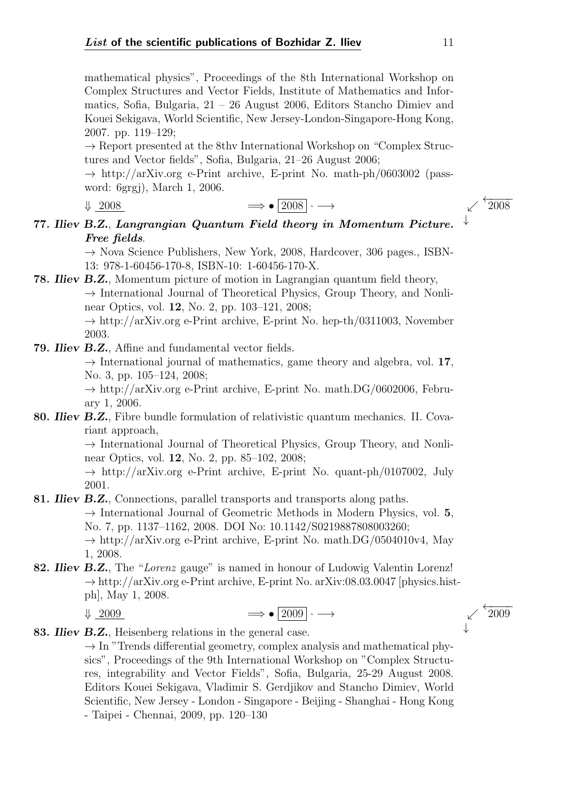mathematical physics", Proceedings of the 8th International Workshop on Complex Structures and Vector Fields, Institute of Mathematics and Informatics, Sofia, Bulgaria, 21 – 26 August 2006, Editors Stancho Dimiev and Kouei Sekigava, World Scientific, New Jersey-London-Singapore-Hong Kong, 2007. pp. 119–129;

 $\rightarrow$  Report presented at the 8thv International Workshop on "Complex Structures and Vector fields", Sofia, Bulgaria, 21–26 August 2006;

 $\rightarrow$  http://arXiv.org e-Print archive, E-print No. math-ph/0603002 (password: 6grgj), March 1, 2006.

| $\sqrt{2008}$ | $\Rightarrow$ • 2008 $\cdot \rightarrow$ | $^{\circ}2008$ |
|---------------|------------------------------------------|----------------|

77. Iliev B.Z., Langrangian Quantum Field theory in Momentum Picture. Free fields.

> $\rightarrow$  Nova Science Publishers, New York, 2008, Hardcover, 306 pages., ISBN-13: 978-1-60456-170-8, ISBN-10: 1-60456-170-X.

78. Iliev B.Z., Momentum picture of motion in Lagrangian quantum field theory,  $\rightarrow$  International Journal of Theoretical Physics, Group Theory, and Nonlinear Optics, vol. 12, No. 2, pp. 103–121, 2008;  $\rightarrow$  http://arXiv.org e-Print archive, E-print No. hep-th/0311003, November

2003.

79. Iliev B.Z., Affine and fundamental vector fields.

 $\rightarrow$  International journal of mathematics, game theory and algebra, vol. 17, No. 3, pp. 105–124, 2008;

 $\rightarrow$  http://arXiv.org e-Print archive, E-print No. math.DG/0602006, February 1, 2006.

80. Iliev B.Z., Fibre bundle formulation of relativistic quantum mechanics. II. Covariant approach,

> $\rightarrow$  International Journal of Theoretical Physics, Group Theory, and Nonlinear Optics, vol. 12, No. 2, pp. 85–102, 2008;

> $\rightarrow$  http://arXiv.org e-Print archive, E-print No. quant-ph/0107002, July 2001.

81. *Iliev B.Z.*, Connections, parallel transports and transports along paths.

 $\rightarrow$  International Journal of Geometric Methods in Modern Physics, vol. 5, No. 7, pp. 1137–1162, 2008. DOI No: 10.1142/S0219887808003260;

 $\rightarrow$  http://arXiv.org e-Print archive, E-print No. math.DG/0504010v4, May 1, 2008.

82. Iliev B.Z., The "Lorenz gauge" is named in honour of Ludowig Valentin Lorenz!  $\rightarrow$  http://arXiv.org e-Print archive, E-print No. arXiv:08.03.0047 [physics.histph], May 1, 2008.

$$
\downarrow \underline{2009} \qquad \qquad \Longrightarrow \bullet \boxed{2009} \cdot \longrightarrow \qquad \qquad \swarrow \stackrel{\leftarrow}{2009}
$$

83. Iliev B.Z., Heisenberg relations in the general case.

 $\rightarrow$  In "Trends differential geometry, complex analysis and mathematical physics", Proceedings of the 9th International Workshop on "Complex Structures, integrability and Vector Fields", Sofia, Bulgaria, 25-29 August 2008. Editors Kouei Sekigava, Vladimir S. Gerdjikov and Stancho Dimiev, World Scientific, New Jersey - London - Singapore - Beijing - Shanghai - Hong Kong - Taipei - Chennai, 2009, pp. 120–130

↓